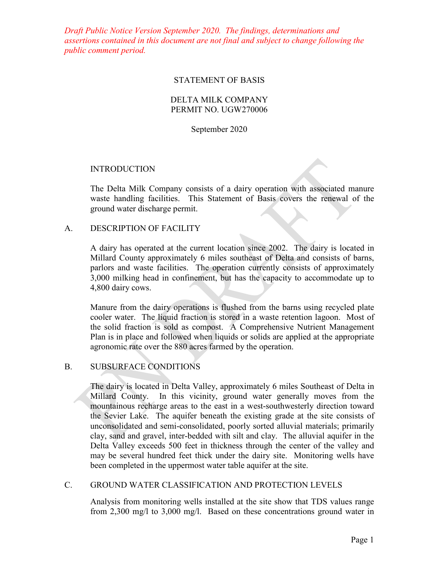*Draft Public Notice Version September 2020. The findings, determinations and assertions contained in this document are not final and subject to change following the public comment period.*

#### STATEMENT OF BASIS

# DELTA MILK COMPANY PERMIT NO. UGW270006

September 2020

## INTRODUCTION

The Delta Milk Company consists of a dairy operation with associated manure waste handling facilities. This Statement of Basis covers the renewal of the ground water discharge permit.

## A. DESCRIPTION OF FACILITY

A dairy has operated at the current location since 2002. The dairy is located in Millard County approximately 6 miles southeast of Delta and consists of barns, parlors and waste facilities. The operation currently consists of approximately 3,000 milking head in confinement, but has the capacity to accommodate up to 4,800 dairy cows.

Manure from the dairy operations is flushed from the barns using recycled plate cooler water. The liquid fraction is stored in a waste retention lagoon. Most of the solid fraction is sold as compost. A Comprehensive Nutrient Management Plan is in place and followed when liquids or solids are applied at the appropriate agronomic rate over the 880 acres farmed by the operation.

# B. SUBSURFACE CONDITIONS

The dairy is located in Delta Valley, approximately 6 miles Southeast of Delta in Millard County. In this vicinity, ground water generally moves from the mountainous recharge areas to the east in a west-southwesterly direction toward the Sevier Lake. The aquifer beneath the existing grade at the site consists of unconsolidated and semi-consolidated, poorly sorted alluvial materials; primarily clay, sand and gravel, inter-bedded with silt and clay. The alluvial aquifer in the Delta Valley exceeds 500 feet in thickness through the center of the valley and may be several hundred feet thick under the dairy site. Monitoring wells have been completed in the uppermost water table aquifer at the site.

#### C. GROUND WATER CLASSIFICATION AND PROTECTION LEVELS

Analysis from monitoring wells installed at the site show that TDS values range from 2,300 mg/l to 3,000 mg/l. Based on these concentrations ground water in